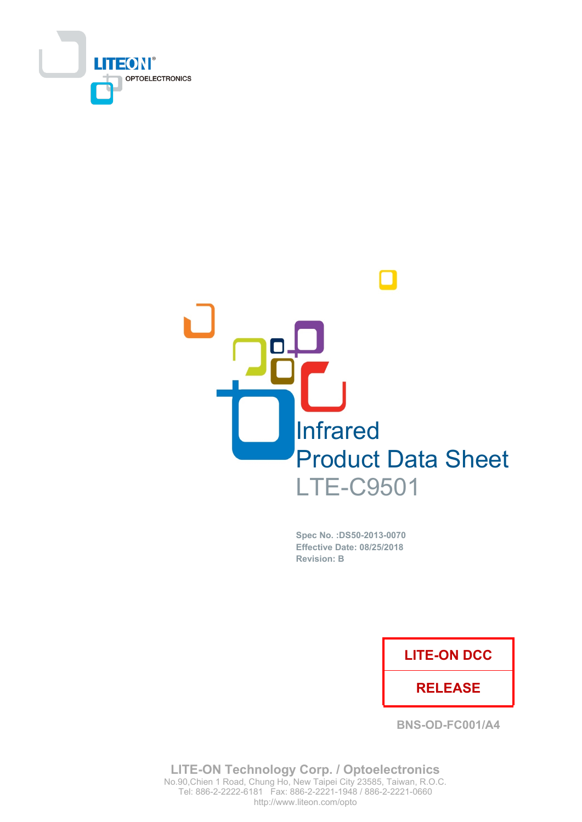



Spec No. : DS50-2013-0070 **Effective Date: 08/25/2018 Revision: B** 

## **LITE-ON DCC**

### **RELEASE**

BNS-OD-FC001/A4

**LITE-ON Technology Corp. / Optoelectronics** No.90, Chien 1 Road, Chung Ho, New Taipei City 23585, Taiwan, R.O.C. http://www.liteon.com/opto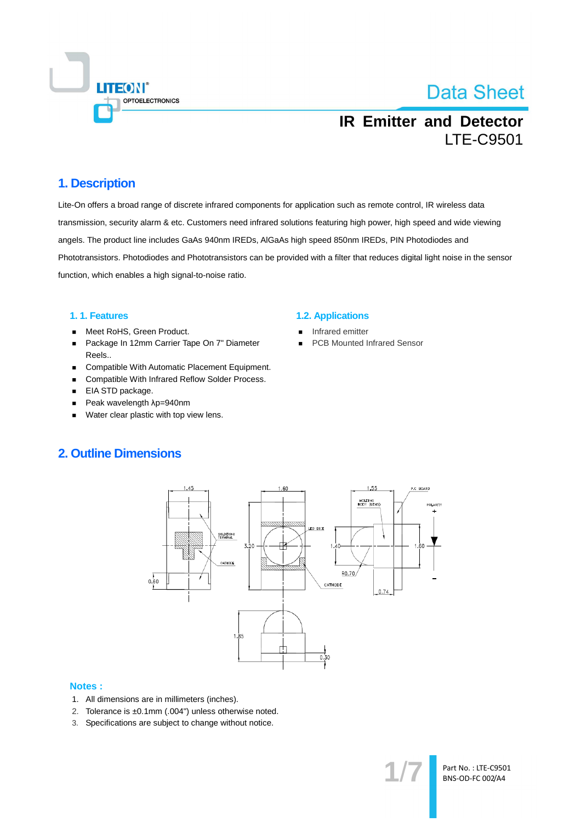

## **IR Emitter and Detector LTE-C9501**

### 1. Description

Lite-On offers a broad range of discrete infrared components for application such as remote control, IR wireless data transmission, security alarm & etc. Customers need infrared solutions featuring high power, high speed and wide viewing angels. The product line includes GaAs 940nm IREDs, AlGaAs high speed 850nm IREDs, PIN Photodiodes and Phototransistors. Photodiodes and Phototransistors can be provided with a filter that reduces digital light noise in the sensor function, which enables a high signal-to-noise ratio.

#### 1.1. Features

- Meet RoHS, Green Product.  $\blacksquare$
- Package In 12mm Carrier Tape On 7" Diameter  $\blacksquare$ Reels..
- Compatible With Automatic Placement Equipment.  $\blacksquare$
- Compatible With Infrared Reflow Solder Process.  $\blacksquare$
- EIA STD package.  $\blacksquare$
- Peak wavelength λp=940nm  $\blacksquare$
- Water clear plastic with top view lens.  $\blacksquare$

#### **1.2. Applications**

- Infrared emitter
- **PCB Mounted Infrared Sensor**

### **2. Outline Dimensions**



#### **Notes:**

- 1. All dimensions are in millimeters (inches).
- 2. Tolerance is ±0.1mm (.004") unless otherwise noted.
- 3. Specifications are subject to change without notice.

Part No.: LTE-C9501 BNS-OD-FC 002/A4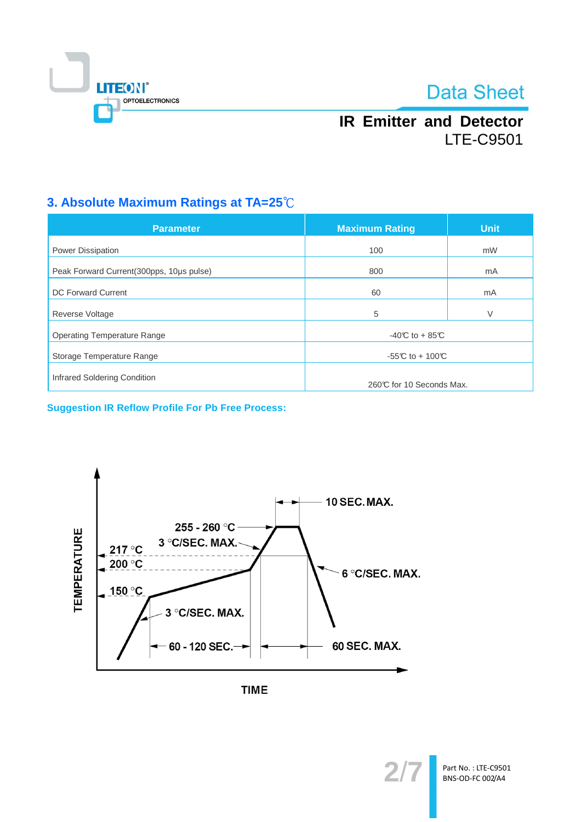

## **IR Emitter and Detector LTE-C9501**

## 3. Absolute Maximum Ratings at TA=25°C

| <b>Parameter</b>                          | <b>Maximum Rating</b>    | <b>Unit</b> |  |
|-------------------------------------------|--------------------------|-------------|--|
| <b>Power Dissipation</b>                  | 100                      | mW          |  |
| Peak Forward Current (300pps, 10us pulse) | 800                      | mA          |  |
| <b>DC Forward Current</b>                 | 60                       | mA          |  |
| <b>Reverse Voltage</b>                    | 5                        | V           |  |
| <b>Operating Temperature Range</b>        | $-40C$ to $+85C$         |             |  |
| Storage Temperature Range                 | -55°C to + 100°C         |             |  |
| Infrared Soldering Condition              | 260℃ for 10 Seconds Max. |             |  |

**Suggestion IR Reflow Profile For Pb Free Process:** 





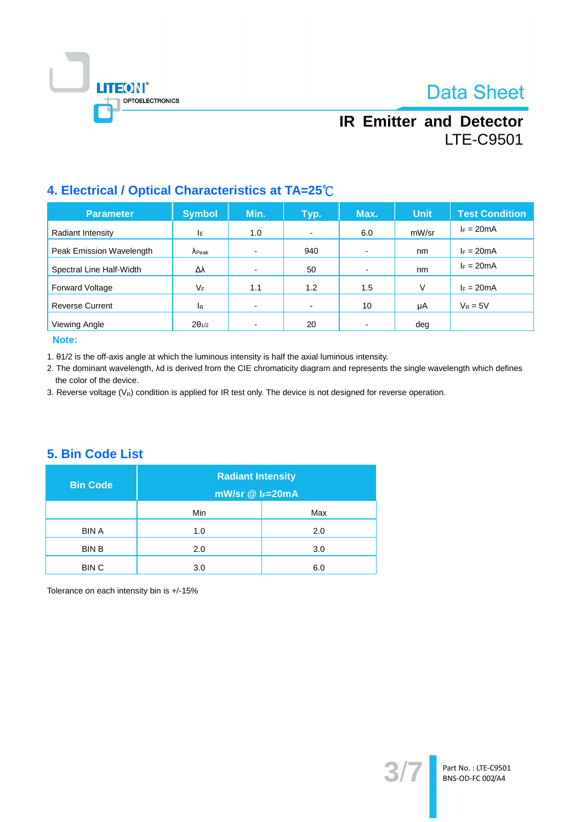

## **IR Emitter and Detector LTE-C9501**

## 4. Electrical / Optical Characteristics at TA=25°C

| <b>Parameter</b>         | <b>Symbol</b>   | Min. | Typ.                     | Max.                     | <b>Unit</b> | <b>Test Condition</b> |
|--------------------------|-----------------|------|--------------------------|--------------------------|-------------|-----------------------|
| Radiant Intensity        | ΙE              | 1.0  | $\overline{\phantom{a}}$ | 6.0                      | mW/sr       | $I_F = 20mA$          |
| Peak Emission Wavelength | $\lambda$ Peak  |      | 940                      | $\overline{\phantom{0}}$ | nm          | $I_F = 20mA$          |
| Spectral Line Half-Width | Δλ              |      | 50                       | $\overline{\phantom{0}}$ | nm          | $F = 20mA$            |
| <b>Forward Voltage</b>   | VF              | 1.1  | 1.2                      | 1.5                      | V           | $I_F = 20mA$          |
| <b>Reverse Current</b>   | <b>I</b> R      |      | $\blacksquare$           | 10                       | μA          | $V_R = 5V$            |
| Viewing Angle            | $2\theta_{1/2}$ |      | 20                       |                          | deg         |                       |

#### Note:

1. 01/2 is the off-axis angle at which the luminous intensity is half the axial luminous intensity.

2. The dominant wavelength, Ad is derived from the CIE chromaticity diagram and represents the single wavelength which defines the color of the device.

3. Reverse voltage  $(V_R)$  condition is applied for IR test only. The device is not designed for reverse operation.

### 5. Bin Code List

| <b>Bin Code</b> | <b>Radiant Intensity</b><br>$mW/sr \n\circledR F=20mA$ |     |  |
|-----------------|--------------------------------------------------------|-----|--|
|                 | <b>Min</b>                                             | Max |  |
| <b>BIN A</b>    | 1.0                                                    | 2.0 |  |
| <b>BIN B</b>    | 2.0                                                    | 3.0 |  |
| <b>BINC</b>     | 3.0                                                    | 6.0 |  |

Tolerance on each intensity bin is +/-15%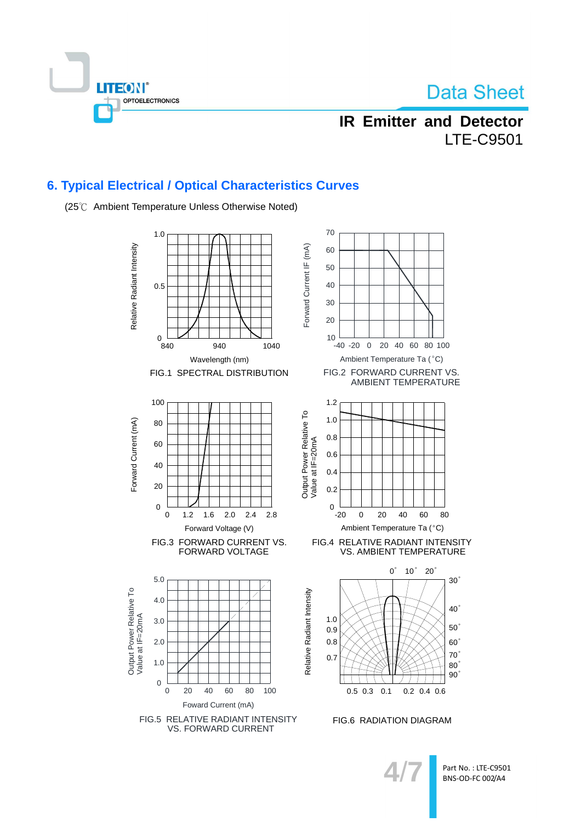

## **IR Emitter and Detector LTE-C9501**

## **6. Typical Electrical / Optical Characteristics Curves**

(25℃ Ambient Temperature Unless Otherwise Noted)

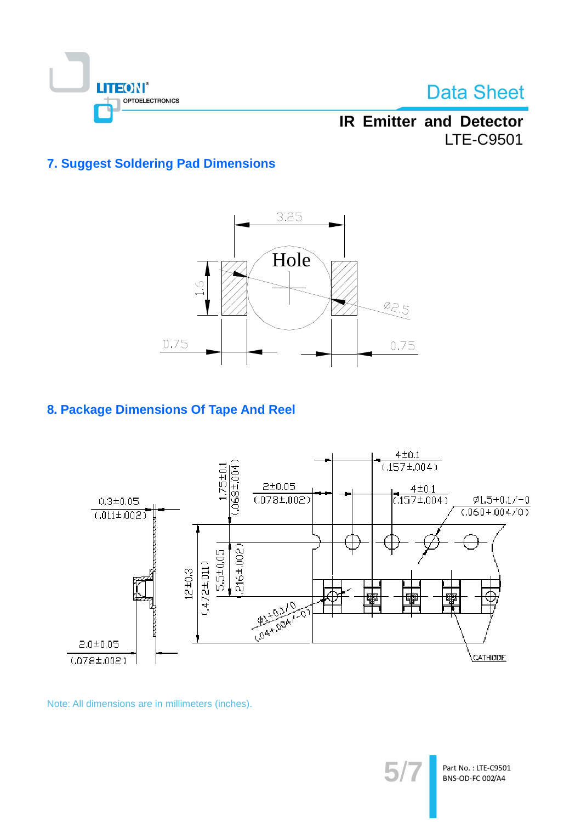

**IR Emitter and Detector LTE-C9501** 

## **7. Suggest Soldering Pad Dimensions**



## 8. Package Dimensions Of Tape And Reel



Note: All dimensions are in millimeters (inches).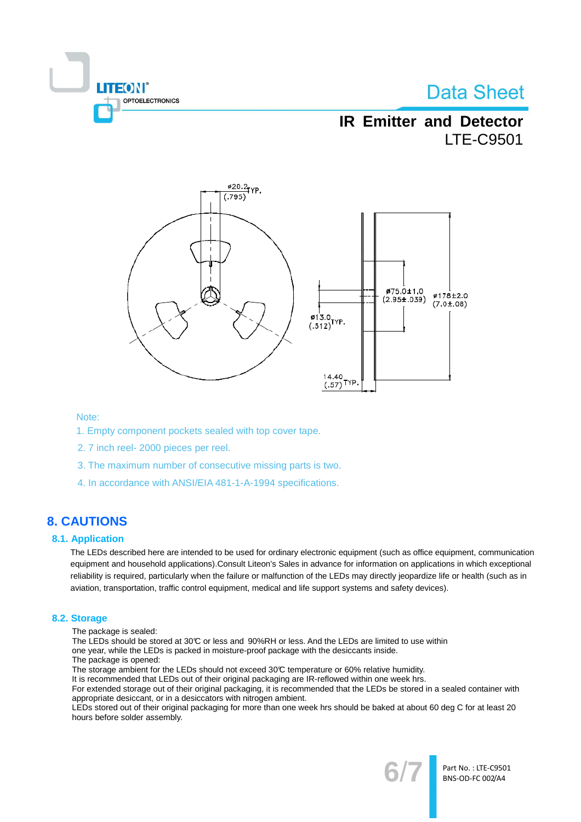

## **IR Emitter and Detector LTE-C9501**



#### Note:

- 1. Empty component pockets sealed with top cover tape.
- 2.7 inch reel- 2000 pieces per reel.
- 3. The maximum number of consecutive missing parts is two.
- 4. In accordance with ANSI/EIA 481-1-A-1994 specifications.

### **8. CAUTIONS**

#### **8.1. Application**

The LEDs described here are intended to be used for ordinary electronic equipment (such as office equipment, communication equipment and household applications). Consult Liteon's Sales in advance for information on applications in which exceptional reliability is required, particularly when the failure or malfunction of the LEDs may directly jeopardize life or health (such as in aviation, transportation, traffic control equipment, medical and life support systems and safety devices).

#### 8.2. Storage

- The package is sealed:
- The LEDs should be stored at 30℃ or less and 90%RH or less. And the LEDs are limited to use within
- one year, while the LEDs is packed in moisture-proof package with the desiccants inside.
- The package is opened:
- The storage ambient for the LEDs should not exceed 30°C temperature or 60% relative humidity.

It is recommended that LEDs out of their original packaging are IR-reflowed within one week hrs.

For extended storage out of their original packaging, it is recommended that the LEDs be stored in a sealed container with appropriate desiccant, or in a desiccators with nitrogen ambient.

LEDs stored out of their original packaging for more than one week hrs should be baked at about 60 deg C for at least 20 hours before solder assembly.